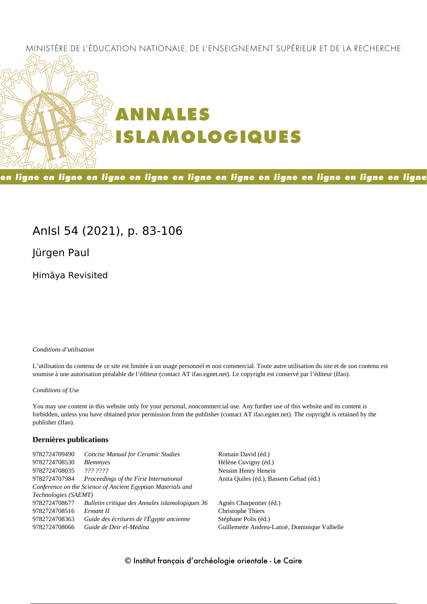## MINISTÈRE DE L'ÉDUCATION NATIONALE, DE L'ENSEIGNEMENT SUPÉRIEUR ET DE LA RECHERCHE



en ligne en ligne en ligne en ligne en ligne en ligne en ligne en ligne en ligne en ligne

## **AnIsl 54 (2021), p. 83-106**

**Jürgen Paul**

Ḥimāya Revisited

#### *Conditions d'utilisation*

L'utilisation du contenu de ce site est limitée à un usage personnel et non commercial. Toute autre utilisation du site et de son contenu est soumise à une autorisation préalable de l'éditeur (contact AT ifao.egnet.net). Le copyright est conservé par l'éditeur (Ifao).

#### *Conditions of Use*

You may use content in this website only for your personal, noncommercial use. Any further use of this website and its content is forbidden, unless you have obtained prior permission from the publisher (contact AT ifao.egnet.net). The copyright is retained by the publisher (Ifao).

#### **Dernières publications**

| 9782724709490        | <b>Concise Manual for Ceramic Studies</b>                   | Romain David (éd.)                           |
|----------------------|-------------------------------------------------------------|----------------------------------------------|
| 9782724708530        | <b>Blemmyes</b>                                             | Hélène Cuvigny (éd.)                         |
| 9782724708035        | ??? ????                                                    | Nessim Henry Henein                          |
| 9782724707984        | Proceedings of the First International                      | Anita Quiles (éd.), Bassem Gehad (éd.)       |
|                      | Conference on the Science of Ancient Egyptian Materials and |                                              |
| Technologies (SAEMT) |                                                             |                                              |
| 9782724708677        | Bulletin critique des Annales islamologiques 36             | Agnès Charpentier (éd.)                      |
| 9782724708516        | Ermant II                                                   | Christophe Thiers                            |
| 9782724708363        | Guide des écritures de l'Égypte ancienne                    | Stéphane Polis (éd.)                         |
| 9782724708066        | Guide de Deir el-Médina                                     | Guillemette Andreu-Lanoë, Dominique Valbelle |
|                      |                                                             |                                              |

## © Institut français d'archéologie orientale - Le Caire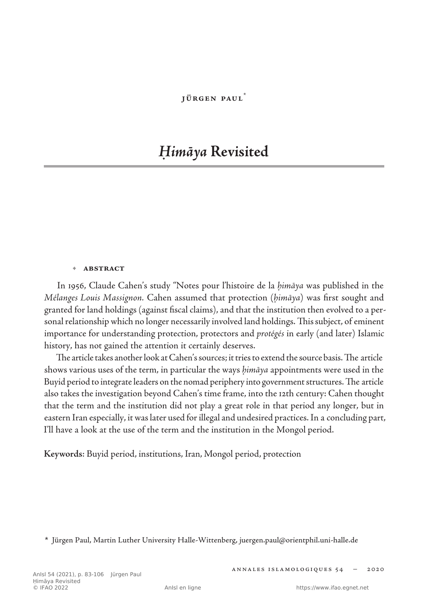#### **Jürgen Paul**\*

# *Ḥimāya* **Revisited**

#### **• abstract**

In 1956, Claude Cahen's study "Notes pour l'histoire de la *ḥimāya* was published in the *Mélanges Louis Massignon.* Cahen assumed that protection (*ḥimāya*) was first sought and granted for land holdings (against fiscal claims), and that the institution then evolved to a personal relationship which no longer necessarily involved land holdings. This subject, of eminent importance for understanding protection, protectors and *protégés* in early (and later) Islamic history, has not gained the attention it certainly deserves.

The article takes another look at Cahen's sources; it tries to extend the source basis. The article shows various uses of the term, in particular the ways *ḥimāya* appointments were used in the Buyid period to integrate leaders on the nomad periphery into government structures. The article also takes the investigation beyond Cahen's time frame, into the 12th century: Cahen thought that the term and the institution did not play a great role in that period any longer, but in eastern Iran especially, it was later used for illegal and undesired practices. In a concluding part, I'll have a look at the use of the term and the institution in the Mongol period.

**Keywords**: Buyid period, institutions, Iran, Mongol period, protection

**<sup>\*</sup>** Jürgen Paul, Martin Luther University Halle-Wittenberg, juergen.paul@orientphil.uni-halle.de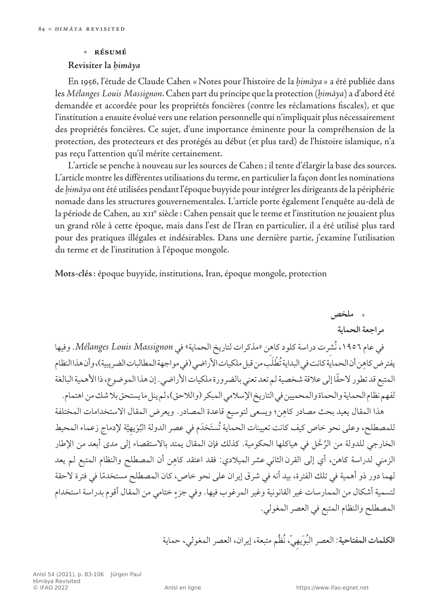#### **• résumé**

#### **Revisiter la** *ḥimāya*

En 1956, l'étude de Claude Cahen «Notes pour l'histoire de la *ḥimāya* » a été publiée dans les *Mélanges Louis Massignon*. Cahen part du principe que la protection (*ḥimāya*) a d'abord été demandée et accordée pour les propriétés foncières (contre les réclamations fiscales), et que l'institution a ensuite évolué vers une relation personnelle qui n'impliquait plus nécessairement des propriétés foncières. Ce sujet, d'une importance éminente pour la compréhension de la protection, des protecteurs et des protégés au début (et plus tard) de l'histoire islamique, n'a pas reçu l'attention qu'il mérite certainement.

L'article se penche à nouveau sur les sources de Cahen; il tente d'élargir la base des sources. L'article montre les différentes utilisations du terme, en particulier la façon dont les nominations de *ḥimāya* ont été utilisées pendant l'époque buyyide pour intégrer les dirigeants de la périphérie nomade dans les structures gouvernementales. L'article porte également l'enquête au‑delà de la période de Cahen, au xII<sup>e</sup> siècle : Cahen pensait que le terme et l'institution ne jouaient plus un grand rôle à cette époque, mais dans l'est de l'Iran en particulier, il a été utilisé plus tard pour des pratiques illégales et indésirables. Dans une dernière partie, j'examine l'utilisation du terme et de l'institution à l'époque mongole.

**Mots-clés**: époque buyyide, institutions, Iran, époque mongole, protection

 **ملخص مراجعة الحماية** في عام ،1956 نُشِرت دراسة كلود كاهِن »مذكرات لتاريخ الحماية« في *Massignon Louis Mélanges*. وفيها يفتر ض كاهِن أن الحماية كانت في البداية تُطْلَب من قبل ملكيات الأراضي (في مواجهة المطالبات الضريبية)، وأن هذا النظام ً المتبع قد تطور الحقا إلى عالقة شخصية لم تعد تعني بالضرورة ملكيات األراضي. إن هذا الموضوع، ذا األهمية البالغة لفهم نظام الحماية والحماة والمحميين في التاريخ الإسلامي المبكر (واللاحق)، لم ينل ما يستحق بلا شك من اهتمام. هذا المقال يعيد بحث مصادر كاهِن؛ ويسعى لتوسيع قاعدة المصادر. ويعرض المقال الاستخدامات المختلفة للمصطلح، وعلى نحو خاص كيف كانت تعيينات الحماية تُستَخدَم في عصر الدولة البُوَيهِيَّة لإدماج زعماء المحيط الخارجي للدولة من الرُحَّل في هياكلها الحكومية. كذلك فإن المقال يمتد بالاستقصاء إلى مدى أبعد من الإطار الزمني لدراسة كاهن، أي إلى القرن الثاني عشر الميلادي: فقد اعتقد كاهِن أن المصطلح والنظام المتبع لم يعد لهما دور ذو أهمية في تلك الفترة، بيد أنه في شرق إيران على نحو خاص، كان المصطلح مستخدمًا في فترة لاحقة لتسمية أشكال من الممارسات غير القانونية وغير المرغوب فيها. وفي جزءٍ ختامي من المقال أقوم بدراسة استخدام المصطلح والنظام المتبع في العصرالمغولي.

**الكلمات المفتاحية**: العصر البُوَيهِي،ّ نُظُم متبعة، إيران، العصر المغولي، حماية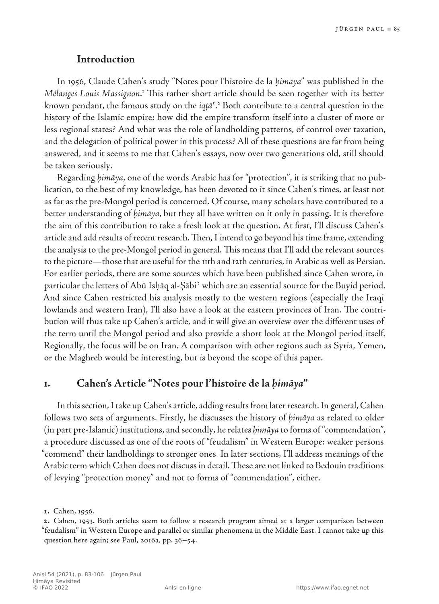## **Introduction**

In 1956, Claude Cahen's study "Notes pour l'histoire de la *ḥimāya*" was published in the Mélanges Louis Massignon.<sup>1</sup> This rather short article should be seen together with its better known pendant, the famous study on the *iqṭāʿ*. 2 Both contribute to a central question in the history of the Islamic empire: how did the empire transform itself into a cluster of more or less regional states? And what was the role of landholding patterns, of control over taxation, and the delegation of political power in this process? All of these questions are far from being answered, and it seems to me that Cahen's essays, now over two generations old, still should be taken seriously.

Regarding *ḥimāya*, one of the words Arabic has for "protection", it is striking that no publication, to the best of my knowledge, has been devoted to it since Cahen's times, at least not as far as the pre‑Mongol period is concerned. Of course, many scholars have contributed to a better understanding of *ḥimāya*, but they all have written on it only in passing. It is therefore the aim of this contribution to take a fresh look at the question. At first, I'll discuss Cahen's article and add results of recent research. Then, I intend to go beyond his time frame, extending the analysis to the pre-Mongol period in general. This means that I'll add the relevant sources to the picture—those that are useful for the 11th and 12th centuries, in Arabic as well as Persian. For earlier periods, there are some sources which have been published since Cahen wrote, in particular the letters of Abū Isḥāq al‑Ṣābiʾ which are an essential source for the Buyid period. And since Cahen restricted his analysis mostly to the western regions (especially the Iraqi lowlands and western Iran), I'll also have a look at the eastern provinces of Iran. The contribution will thus take up Cahen's article, and it will give an overview over the different uses of the term until the Mongol period and also provide a short look at the Mongol period itself. Regionally, the focus will be on Iran. A comparison with other regions such as Syria, Yemen, or the Maghreb would be interesting, but is beyond the scope of this paper.

## **1. Cahen's Article "Notes pour l'histoire de la** *ḥimāya***"**

In this section, I take up Cahen's article, adding results from later research. In general, Cahen follows two sets of arguments. Firstly, he discusses the history of *ḥimāya* as related to older (in part pre‑Islamic) institutions, and secondly, he relates *ḥimāya* to forms of "commendation", a procedure discussed as one of the roots of "feudalism" in Western Europe: weaker persons "commend" their landholdings to stronger ones. In later sections, I'll address meanings of the Arabic term which Cahen does not discuss in detail. These are not linked to Bedouin traditions of levying "protection money" and not to forms of "commendation", either.

**<sup>1</sup>.** Cahen, 1956*.*

**<sup>2</sup>.** Cahen, 1953. Both articles seem to follow a research program aimed at a larger comparison between "feudalism" in Western Europe and parallel or similar phenomena in the Middle East. I cannot take up this question here again; see Paul, 2016a, pp. 36–54.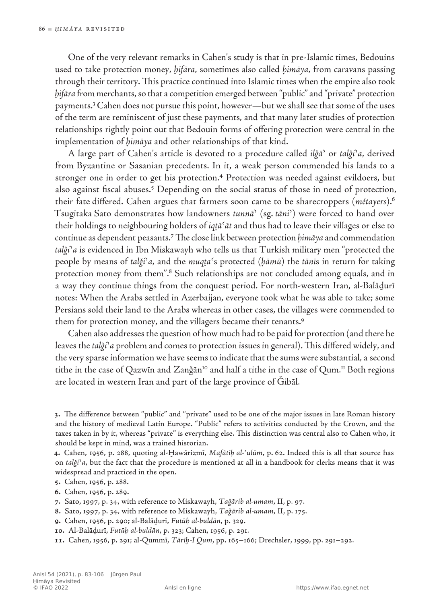One of the very relevant remarks in Cahen's study is that in pre-Islamic times, Bedouins used to take protection money, *ḫifāra*, sometimes also called *ḥimāya*, from caravans passing through their territory. This practice continued into Islamic times when the empire also took *ḫifāra* from merchants, so that a competition emerged between "public" and "private" protection payments.3 Cahen does not pursue this point, however—but we shall see that some of the uses of the term are reminiscent of just these payments, and that many later studies of protection relationships rightly point out that Bedouin forms of offering protection were central in the implementation of *ḥimāya* and other relationships of that kind.

A large part of Cahen's article is devoted to a procedure called *ilǧāʾ* or *talǧiʾa*, derived from Byzantine or Sasanian precedents. In it, a weak person commended his lands to a stronger one in order to get his protection.<sup>4</sup> Protection was needed against evildoers, but also against fiscal abuses.<sup>5</sup> Depending on the social status of those in need of protection, their fate differed. Cahen argues that farmers soon came to be sharecroppers (*métayers*).6 Tsugitaka Sato demonstrates how landowners *tunnāʾ* (sg. *tāniʾ*) were forced to hand over their holdings to neighbouring holders of *iqṭāʿāt* and thus had to leave their villages or else to continue as dependent peasants.7 The close link between protection *ḥimāya* and commendation *talǧiʾa* is evidenced in Ibn Miskawayh who tells us that Turkish military men "protected the people by means of *talǧiʾa*, and the *muqṭaʿ*s protected (*ḥāmū*) the *tānī*s in return for taking protection money from them".<sup>8</sup> Such relationships are not concluded among equals, and in a way they continue things from the conquest period. For north-western Iran, al‑Balāḏurī notes: When the Arabs settled in Azerbaijan, everyone took what he was able to take; some Persians sold their land to the Arabs whereas in other cases, the villages were commended to them for protection money, and the villagers became their tenants.<sup>9</sup>

Cahen also addresses the question of how much had to be paid for protection (and there he leaves the *talǧiʾa* problem and comes to protection issues in general). This differed widely, and the very sparse information we have seems to indicate that the sums were substantial, a second tithe in the case of Qazwīn and Zanǧān<sup>10</sup> and half a tithe in the case of Qum.<sup>11</sup> Both regions are located in western Iran and part of the large province of Ǧibāl.

**3.** The difference between "public" and "private" used to be one of the major issues in late Roman history and the history of medieval Latin Europe. "Public" refers to activities conducted by the Crown, and the taxes taken in by it, whereas "private" is everything else. This distinction was central also to Cahen who, it should be kept in mind, was a trained historian.

**4.** Cahen, 1956, p. 288, quoting al‑Ḫawārizmī, *Mafātiḥ al‑ʿulūm*, p. 62. Indeed this is all that source has on *talǧi*ʾ*a*, but the fact that the procedure is mentioned at all in a handbook for clerks means that it was widespread and practiced in the open.

- **5.** Cahen, 1956, p. 288.
- **6.** Cahen, 1956, p. 289.

**7.** Sato, 1997, p. 34, with reference to Miskawayh, *Taǧārib al‑umam*, II, p. 97.

- **8.** Sato, 1997, p. 34, with reference to Miskawayh, *Taǧārib al‑umam*, II, p. 175.
- **9.** Cahen, 1956, p. 290; al‑Balāḏurī, *Futūḥ al‑buldān*, p. 329.
- **10.** Al-Balāḏurī, *Futūḥ al‑buldān*, p. 323; Cahen, 1956, p. 291.
- **11.** Cahen, 1956, p. 291; al‑Qummī, *Tārīḫ‑I Qum*, pp. 165–166; Drechsler, 1999, pp. 291–292.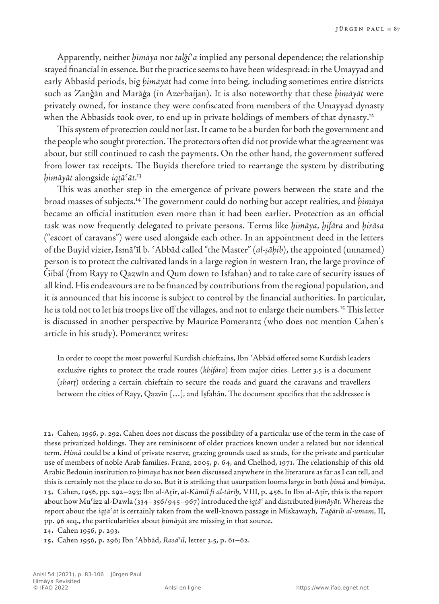Apparently, neither *ḥimāya* nor *talǧiʾa* implied any personal dependence; the relationship stayed financial in essence. But the practice seems to have been widespread: in the Umayyad and early Abbasid periods, big *ḥimāyāt* had come into being, including sometimes entire districts such as Zanǧān and Marāġa (in Azerbaijan). It is also noteworthy that these *ḥimāyāt* were privately owned, for instance they were confiscated from members of the Umayyad dynasty when the Abbasids took over, to end up in private holdings of members of that dynasty.<sup>12</sup>

This system of protection could not last. It came to be a burden for both the government and the people who sought protection. The protectors often did not provide what the agreement was about, but still continued to cash the payments. On the other hand, the government suffered from lower tax receipts. The Buyids therefore tried to rearrange the system by distributing *ḥimāyāt* alongside *iqṭāʿāt*. 13

This was another step in the emergence of private powers between the state and the broad masses of subjects.14 The government could do nothing but accept realities, and *ḥimāya* became an official institution even more than it had been earlier. Protection as an official task was now frequently delegated to private persons. Terms like *ḥimāya*, *ḫifāra* and *ḥirāsa* ("escort of caravans") were used alongside each other. In an appointment deed in the letters of the Buyid vizier, Ismāʿīl b. ʿAbbād called "the Master" (*al‑ṣāḥib*), the appointed (unnamed) person is to protect the cultivated lands in a large region in western Iran, the large province of Ǧibāl (from Rayy to Qazwīn and Qum down to Isfahan) and to take care of security issues of all kind. His endeavours are to be financed by contributions from the regional population, and it is announced that his income is subject to control by the financial authorities. In particular, he is told not to let his troops live off the villages, and not to enlarge their numbers.15 This letter is discussed in another perspective by Maurice Pomerantz (who does not mention Cahen's article in his study). Pomerantz writes:

In order to coopt the most powerful Kurdish chieftains, Ibn ʿAbbād offered some Kurdish leaders exclusive rights to protect the trade routes (*khifāra*) from major cities. Letter 3.5 is a document (*sharṭ*) ordering a certain chieftain to secure the roads and guard the caravans and travellers between the cities of Rayy, Qazvīn […], and Iṣfahān. The document specifies that the addressee is

**14.** Cahen 1956, p. 293.

**15.** Cahen 1956, p. 296; Ibn ʿAbbād, *Rasāʾil*, letter 3.5, p. 61–62.

**<sup>12</sup>.** Cahen, 1956, p. 292. Cahen does not discuss the possibility of a particular use of the term in the case of these privatized holdings. They are reminiscent of older practices known under a related but not identical term. *Ḥimā* could be a kind of private reserve, grazing grounds used as studs, for the private and particular use of members of noble Arab families. Franz, 2005, p. 64, and Chelhod, 1971. The relationship of this old Arabic Bedouin institution to *ḥimāya* has not been discussed anywhere in the literature asfar asI can tell, and thisis certainly not the place to do so. But it isstriking that usurpation loomslarge in both *ḥimā* and *ḥimāya*. **13.** Cahen, 1956, pp. 292–293;Ibn al‑Aṯīr, *al‑Kāmil fī al‑tārīḫ*, VIII, p. 456.In Ibn al‑Aṯīr, thisisthe report about how Muʿizz al‑Dawla (334–356/945–967)introduced the *iqṭāʿ* and distributed *ḥimāyāt*. Whereas the report about the *iqṭāʿāt* is certainly taken from the well-known passage in Miskawayh, *Taǧārib al‑umam*, II, pp. 96 seq., the particularities about *ḥimāyāt* are missing in that source.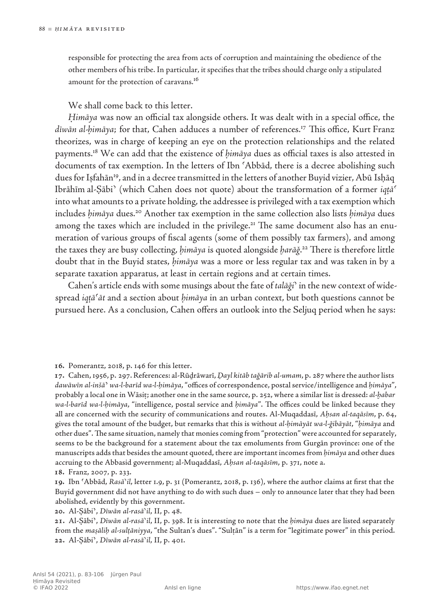responsible for protecting the area from acts of corruption and maintaining the obedience of the other members of his tribe. In particular, it specifies that the tribes should charge only a stipulated amount for the protection of caravans.16

We shall come back to this letter.

*Ḥimāya* was now an official tax alongside others. It was dealt with in a special office, the *dīwān al‑ḥimāya*; for that, Cahen adduces a number of references.17 This office, Kurt Franz theorizes, was in charge of keeping an eye on the protection relationships and the related payments.18 We can add that the existence of *ḥimāya* dues as official taxes is also attested in documents of tax exemption. In the letters of Ibn ʿAbbād, there is a decree abolishing such dues for Iṣfahān19, and in a decree transmitted in the letters of another Buyid vizier, Abū Isḥāq Ibrāhīm al‑Ṣābiʾ (which Cahen does not quote) about the transformation of a former *iqṭāʿ* into what amounts to a private holding, the addressee is privileged with a tax exemption which includes *ḥimāya* dues.20 Another tax exemption in the same collection also lists *ḥimāya* dues among the taxes which are included in the privilege.<sup>21</sup> The same document also has an enumeration of various groups of fiscal agents (some of them possibly tax farmers), and among the taxes they are busy collecting, *ḥimāya* is quoted alongside *ḫarāǧ*. 22 There is therefore little doubt that in the Buyid states, *ḥimāya* was a more or less regular tax and was taken in by a separate taxation apparatus, at least in certain regions and at certain times.

Cahen's article ends with some musings about the fate of *talāǧiʾ* in the new context of widespread *iqṭāʿāt* and a section about *ḥimāya* in an urban context, but both questions cannot be pursued here. As a conclusion, Cahen offers an outlook into the Seljuq period when he says:

**16.** Pomerantz, 2018, p. 146 for this letter.

**17.** Cahen,1956, p. 297.References: al‑Rūḏrāwarī, *Ḏayl kitāb taǧārib al‑umam*, p. 287 where the authorlists *dawāwīn al‑inšā*ʾ *wa‑l‑barīd wa‑l‑ḥimāya*,"offices of correspondence, postalservice/intelligence and *ḥimāya*", probably a local one in Wāsiṭ; another one in the same source, p. 252, where a similarlist is dressed: *al‑ḫabar wa‑l‑barīd wa‑l‑ḥimāya*, "intelligence, postal service and *ḥimāya*". The offices could be linked because they all are concerned with the security of communications and routes. Al‑Muqaddasī, *Aḥsan al‑taqāsīm*, p. 64, gives the total amount of the budget, but remarks that this is without *al-ḥimāyāt wa-l-ǧibāyāt*, "*ḥimāya* and other dues". The same situation, namely that monies coming from "protection" were accounted for separately, seems to be the background for a statement about the tax emoluments from Gurgān province: one of the manuscripts adds that besides the amount quoted, there are important incomes from *himāya* and other dues accruing to the Abbasid government; al‑Muqaddasī, *Aḥsan al‑taqāsīm*, p. 371, note a.

**19.** Ibn ʿAbbād, *Rasāʾil*, letter 1.9, p. 31 (Pomerantz, 2018, p. 136), where the author claims at first that the Buyid government did not have anything to do with such dues – only to announce later that they had been abolished, evidently by this government.

**20.** Al-Ṣābiʾ, *Dīwān al‑rasāʾil*, II, p. 48.

**21.** Al-Ṣābiʾ, *Dīwān al‑rasāʾil*, II, p. 398. It is interesting to note that the *ḥimāya* dues are listed separately from the *maṣāliḥ al-sulṭāniyya*, "the Sultan's dues". "Sulṭān" is a term for "legitimate power" in this period. **22.** Al-Ṣābiʾ, *Dīwān al‑rasāʾil*, II, p. 401.

**<sup>18</sup>.** Franz, 2007*,* p. 233.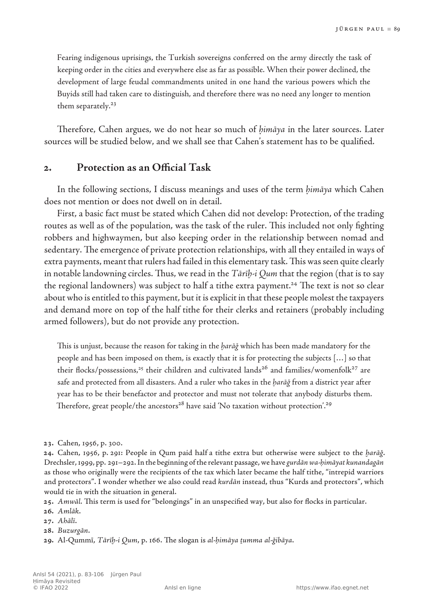Fearing indigenous uprisings, the Turkish sovereigns conferred on the army directly the task of keeping order in the cities and everywhere else as far as possible. When their power declined, the development of large feudal commandments united in one hand the various powers which the Buyids still had taken care to distinguish, and therefore there was no need any longer to mention them separately.<sup>23</sup>

Therefore, Cahen argues, we do not hear so much of *ḥimāya* in the later sources. Later sources will be studied below, and we shall see that Cahen's statement has to be qualified.

#### **2. Protection as an Official Task**

In the following sections, I discuss meanings and uses of the term *ḥimāya* which Cahen does not mention or does not dwell on in detail.

First, a basic fact must be stated which Cahen did not develop: Protection, of the trading routes as well as of the population, was the task of the ruler. This included not only fighting robbers and highwaymen, but also keeping order in the relationship between nomad and sedentary. The emergence of private protection relationships, with all they entailed in ways of extra payments, meant that rulers had failed in this elementary task. This was seen quite clearly in notable landowning circles. Thus, we read in the *Tārīb-i Qum* that the region (that is to say the regional landowners) was subject to half a tithe extra payment.<sup>24</sup> The text is not so clear about who is entitled to this payment, but it is explicit in that these people molest the taxpayers and demand more on top of the half tithe for their clerks and retainers (probably including armed followers), but do not provide any protection.

This is unjust, because the reason for taking in the *ḫarāǧ* which has been made mandatory for the people and has been imposed on them, is exactly that it is for protecting the subjects […] so that their flocks/possessions,<sup>25</sup> their children and cultivated lands<sup>26</sup> and families/womenfolk<sup>27</sup> are safe and protected from all disasters. And a ruler who takes in the *ḫarāǧ* from a district year after year has to be their benefactor and protector and must not tolerate that anybody disturbs them. Therefore, great people/the ancestors<sup>28</sup> have said 'No taxation without protection'.<sup>29</sup>

**25.** *Amwāl*. This term is used for "belongings" in an unspecified way, but also for flocks in particular.

**28.** *Buzurgān*.

**<sup>23</sup>.** Cahen, 1956, p. 300.

**<sup>24</sup>.** Cahen, 1956, p. 291: People in Qum paid half a tithe extra but otherwise were subject to the *ḫarāǧ*. Drechsler,1999, pp. 291–292.In the beginning ofthe relevant passage, we have *gurdānwa-ḥimāyat kunandagān* as those who originally were the recipients of the tax which later became the half tithe, "intrepid warriors and protectors". I wonder whether we also could read *kurdān* instead, thus "Kurds and protectors", which would tie in with the situation in general.

**<sup>26</sup>.** *Amlāk*.

**<sup>27</sup>.** *Ahālī*.

**<sup>29</sup>.** Al-Qummī, *Tārīḫ-i Qum*, p. 166. The slogan is *al‑ḥimāya ṯumma al‑ǧibāya*.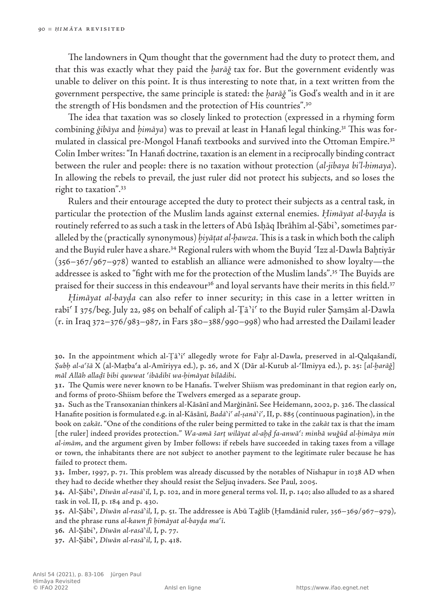The landowners in Qum thought that the government had the duty to protect them, and that this was exactly what they paid the *ḫarāǧ* tax for. But the government evidently was unable to deliver on this point. It is thus interesting to note that, in a text written from the government perspective, the same principle is stated: the *ḫarāǧ* "is God's wealth and in it are the strength of His bondsmen and the protection of His countries".30

The idea that taxation was so closely linked to protection (expressed in a rhyming form combining *ǧibāya* and *ḥimāya*) was to prevail at least in Hanafi legal thinking.31 This was formulated in classical pre-Mongol Hanafi textbooks and survived into the Ottoman Empire.<sup>32</sup> Colin Imber writes: "In Hanafi doctrine, taxation is an element in a reciprocally binding contract between the ruler and people: there is no taxation without protection (*al‑jibaya bi'l‑himaya*). In allowing the rebels to prevail, the just ruler did not protect his subjects, and so loses the right to taxation".<sup>33</sup>

Rulers and their entourage accepted the duty to protect their subjects as a central task, in particular the protection of the Muslim lands against external enemies. *Ḥimāyat al‑bayḍa* is routinely referred to as such a task in the letters of Abū Isḥāq Ibrāhīm al‑Ṣābiʾ, sometimes paralleled by the (practically synonymous) *ḥiyāṭat al‑ḥawza*. This is a task in which both the caliph and the Buyid ruler have a share.34 Regional rulers with whom the Buyid ʿIzz al‑Dawla Baḫtiyār (356–367/967–978) wanted to establish an alliance were admonished to show loyalty—the addressee is asked to "fight with me for the protection of the Muslim lands".<sup>35</sup> The Buyids are praised for their success in this endeavour<sup>36</sup> and loyal servants have their merits in this field.<sup>37</sup>

*Ḥimāyat al-bayḍa* can also refer to inner security; in this case in a letter written in rabīʿ I 375/beg. July 22, 985 on behalf of caliph al‑Ṭāʾiʿ to the Buyid ruler Ṣamṣām al‑Dawla (r. in Iraq 372–376/983–987, in Fars 380–388/990–998) who had arrested the Dailamī leader

**32.** Such asthe Transoxanian thinkers al‑Kāsānī and Marġinānī. See Heidemann, 2002, p. 326.The classical Hanafite position isformulated e.g. in al-Kāsānī, *Badāʾiʿ al‑ṣanāʾiʿ*,II, p. 885 (continuous pagination), in the book on *zakāt*. "One of the conditions of the ruler being permitted to take in the *zakāt* tax is that the imam [the ruler] indeed provides protection." *Wa‑amā šarṭ wilāyat al‑aḫḏ fa‑anwāʿ: minhā wuǧūd al‑ḥimāya min al‑imām*, and the argument given by Imber follows: if rebels have succeeded in taking taxes from a village or town, the inhabitants there are not subject to another payment to the legitimate ruler because he has failed to protect them.

**33.** Imber, 1997, p. 71. This problem was already discussed by the notables of Nishapur in 1038 AD when they had to decide whether they should resist the Seljuq invaders. See Paul, 2005.

**34.** Al-Ṣābiʾ, *Dīwān al-rasāʾil*, I, p. 102, and in more general terms vol. II, p. 140; also alluded to as a shared task in vol. II, p. 184 and p. 430.

**35.** Al-Ṣābiʾ, *Dīwān al-rasāʾil*, I, p. 51. The addressee is Abū Taġlib (Ḥamdānid ruler, 356–369/967–979), and the phrase runs *al‑kawn fī ḥimāyat al‑bayḍa maʿī*.

**36.** Al-Ṣābiʾ, *Dīwān al-rasāʾil*, I, p. 77.

**37.** Al-Ṣābiʾ, *Dīwān al-rasāʾil*, I, p. 418.

**<sup>30</sup>.** In the appointment which al‑Ṭāʾiʿ allegedly wrote for Faḫr al‑Dawla, preserved in al‑Qalqašandī, *Ṣubḥ al‑aʿšā* X (al‑Maṭbaʿa al‑Amīriyya ed.), p. 26, and X (Dār al‑Kutub al‑ʿIlmiyya ed.), p. 25: [*al‑ḫarāǧ*] *māl Allāh allaḏī bihi quwwat ʿibādihī wa‑ḥimāyat bilādihi*.

**<sup>31</sup>.** The Qumis were never known to be Hanafis. Twelver Shiism was predominant in that region early on, and forms of proto‑Shiism before the Twelvers emerged as a separate group.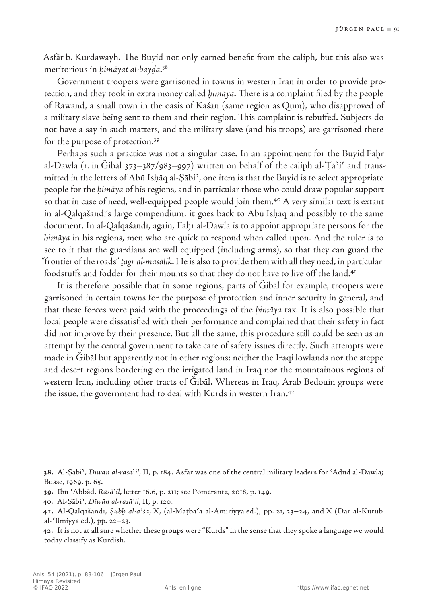Asfār b. Kurdawayh. The Buyid not only earned benefit from the caliph, but this also was meritorious in *ḥimāyat al‑bayḍa*. 38

Government troopers were garrisoned in towns in western Iran in order to provide protection, and they took in extra money called *ḥimāya*. There is a complaint filed by the people of Rāwand, a small town in the oasis of Kāšān (same region as Qum), who disapproved of a military slave being sent to them and their region. This complaint is rebuffed. Subjects do not have a say in such matters, and the military slave (and his troops) are garrisoned there for the purpose of protection.<sup>39</sup>

Perhaps such a practice was not a singular case. In an appointment for the Buyid Faḫr al-Dawla (r. in Gibāl 373–387/983–997) written on behalf of the caliph al-Ta<sup>3</sup>i<sup>c</sup> and transmitted in the letters of Abū Isḥāq al‑Ṣābiʾ, one item is that the Buyid is to select appropriate people for the *ḥimāya* of his regions, and in particular those who could draw popular support so that in case of need, well-equipped people would join them.<sup>40</sup> A very similar text is extant in al‑Qalqašandī's large compendium; it goes back to Abū Isḥāq and possibly to the same document. In al‑Qalqašandī, again, Faḫr al‑Dawla is to appoint appropriate persons for the *ḥimāya* in his regions, men who are quick to respond when called upon. And the ruler is to see to it that the guardians are well equipped (including arms), so that they can guard the "frontier of the roads" *ṯaġr al‑masālik*. He is also to provide them with all they need, in particular foodstuffs and fodder for their mounts so that they do not have to live off the land.<sup>41</sup>

It is therefore possible that in some regions, parts of Ǧibāl for example, troopers were garrisoned in certain towns for the purpose of protection and inner security in general, and that these forces were paid with the proceedings of the *ḥimāya* tax. It is also possible that local people were dissatisfied with their performance and complained that their safety in fact did not improve by their presence. But all the same, this procedure still could be seen as an attempt by the central government to take care of safety issues directly. Such attempts were made in Gibāl but apparently not in other regions: neither the Iraqi lowlands nor the steppe and desert regions bordering on the irrigated land in Iraq nor the mountainous regions of western Iran, including other tracts of Gibal. Whereas in Iraq, Arab Bedouin groups were the issue, the government had to deal with Kurds in western Iran.<sup>42</sup>

**42.** It is not at allsure whether these groups were "Kurds" in the sense that they spoke a language we would today classify as Kurdish.

**<sup>38</sup>.** Al-Ṣābiʾ, *Dīwān al-rasāʾil*, II, p. 184. Asfār was one of the central military leaders for ʿAḍud al‑Dawla; Busse, 1969, p. 65.

**<sup>39</sup>.** Ibn ʿAbbād, *Rasāʾil*, letter 16.6, p. 211; see Pomerantz, 2018, p. 149.

**<sup>40</sup>.** Al-Ṣābiʾ, *Dīwān al-rasāʾil*, II, p. 120.

**<sup>41</sup>.** Al-Qalqašandī, *Ṣubḥ al-aʿšā*, X, (al‑Maṭbaʿa al‑Amīriyya ed.), pp. 21, 23–24, and X (Dār al‑Kutub al- $\langle$ Ilmiyya ed.), pp. 22–23.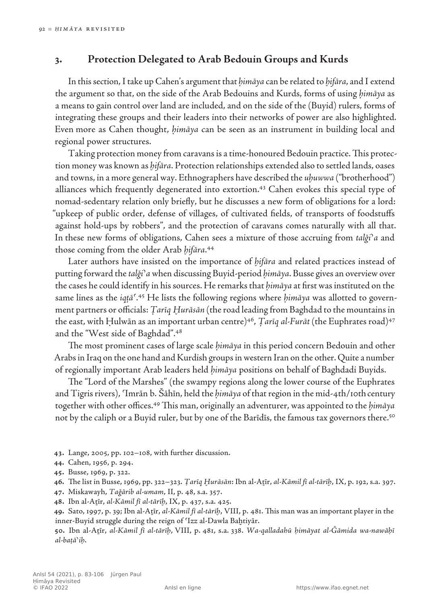## **3. Protection Delegated to Arab Bedouin Groups and Kurds**

In this section, I take up Cahen's argument that *ḥimāya* can be related to *ḫifāra*, and I extend the argument so that, on the side of the Arab Bedouins and Kurds, forms of using *ḥimāya* as a means to gain control over land are included, and on the side of the (Buyid) rulers, forms of integrating these groups and their leaders into their networks of power are also highlighted. Even more as Cahen thought, *ḥimāya* can be seen as an instrument in building local and regional power structures.

Taking protection money from caravans is a time-honoured Bedouin practice. This protection money was known as *ḫifāra*. Protection relationships extended also to settled lands, oases and towns, in a more general way. Ethnographers have described the *uḫuwwa* ("brotherhood") alliances which frequently degenerated into extortion.<sup>43</sup> Cahen evokes this special type of nomad-sedentary relation only briefly, but he discusses a new form of obligations for a lord: "upkeep of public order, defense of villages, of cultivated fields, of transports of foodstuffs against hold-ups by robbers", and the protection of caravans comes naturally with all that. In these new forms of obligations, Cahen sees a mixture of those accruing from *talǧiʾa* and those coming from the older Arab *ḫifāra*. 44

Later authors have insisted on the importance of *ḫifāra* and related practices instead of putting forward the *talǧiʾa* when discussing Buyid-period *ḥimāya*. Busse gives an overview over the cases he could identify in his sources. He remarks that *ḥimāya* at first was instituted on the same lines as the *iqṭāʿ*. 45 He lists the following regions where *ḥimāya* was allotted to government partners or officials: *Ṭarīq Ḫurāsān* (the road leading from Baghdad to the mountains in the east, with Ḥulwān as an important urban centre)<sup>46</sup>, *Țarīq al-Furāt* (the Euphrates road)<sup>47</sup> and the "West side of Baghdad".<sup>48</sup>

The most prominent cases of large scale *ḥimāya* in this period concern Bedouin and other Arabs in Iraq on the one hand and Kurdish groups in western Iran on the other. Quite a number of regionally important Arab leaders held *ḥimāya* positions on behalf of Baghdadi Buyids.

The "Lord of the Marshes" (the swampy regions along the lower course of the Euphrates and Tigris rivers), ʿImrān b. Šāhīn, held the *ḥimāya* of that region in the mid‑4th/10thcentury together with other offices.49 This man, originally an adventurer, was appointed to the *ḥimāya* not by the caliph or a Buyid ruler, but by one of the Barīdīs, the famous tax governors there.<sup>50</sup>

**43.** Lange, 2005, pp. 102–108, with further discussion.

**46.** The list in Busse, 1969, pp. 322–323. *Ṭarīq Ḫurāsān*: Ibn al‑Aṯīr, *al‑Kāmil fī al‑tārīḫ*, IX, p. 192, s.a. 397.

**47.** Miskawayh, *Taǧārib al-umam*, II, p. 48, s.a. 357.

**48.** Ibn al-Aṯīr, *al-Kāmil fī al-tārīḫ*, IX, p. 437, s.a. 425.

**49.** Sato, 1997, p. 39; Ibn al-Aṯīr, *al-Kāmil fī al-tārīḫ*, VIII, p. 481. This man was an important player in the inner‑Buyid struggle during the reign of ʿIzz al‑Dawla Baḫtiyār.

**50.** Ibn al-Aṯīr, *al-Kāmil fī al-tārīḫ*, VIII, p. 481, s.a. 338. *Wa‑qalladahū ḥimāyat al‑Ǧāmida wa‑nawāḥī al‑baṭāʾiḥ*.

**<sup>44</sup>.** Cahen, 1956, p. 294.

**<sup>45</sup>.** Busse, 1969, p. 322.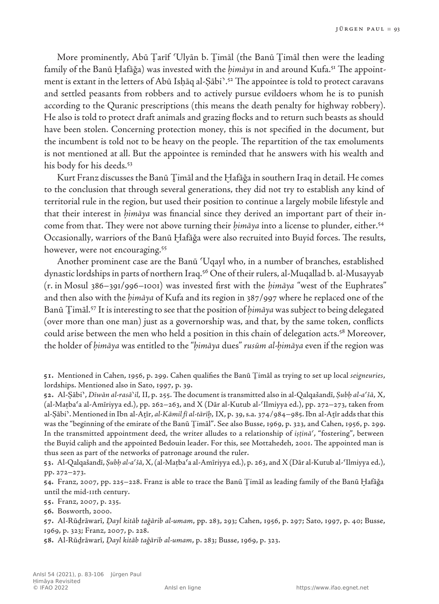More prominently, Abū Țarīf 'Ulyān b. Timāl (the Banū Timāl then were the leading family of the Banū Hafāğa) was invested with the *himāya* in and around Kufa.<sup>51</sup> The appointment is extant in the letters of Abū Isḥāq al‑Ṣābiʾ.52 The appointee is told to protect caravans and settled peasants from robbers and to actively pursue evildoers whom he is to punish according to the Quranic prescriptions (this means the death penalty for highway robbery). He also is told to protect draft animals and grazing flocks and to return such beasts as should have been stolen. Concerning protection money, this is not specified in the document, but the incumbent is told not to be heavy on the people. The repartition of the tax emoluments is not mentioned at all. But the appointee is reminded that he answers with his wealth and his body for his deeds.<sup>53</sup>

Kurt Franz discusses the Banū Ṯimāl and the Ḫafāǧa in southern Iraq in detail. He comes to the conclusion that through several generations, they did not try to establish any kind of territorial rule in the region, but used their position to continue a largely mobile lifestyle and that their interest in *ḥimāya* was financial since they derived an important part of their income from that. They were not above turning their *ḥimāya* into a license to plunder, either.54 Occasionally, warriors of the Banū Ḫafāǧa were also recruited into Buyid forces. The results, however, were not encouraging.<sup>55</sup>

Another prominent case are the Banū ʿUqayl who, in a number of branches, established dynastic lordships in parts of northern Iraq.56 One of their rulers, al‑Muqallad b. al‑Musayyab (r. in Mosul 386–391/996–1001) was invested first with the *ḥimāya* "west of the Euphrates" and then also with the *ḥimāya* of Kufa and its region in 387/997 where he replaced one of the Banū Timāl.<sup>57</sup> It is interesting to see that the position of *himāya* was subject to being delegated (over more than one man) just as a governorship was, and that, by the same token, conflicts could arise between the men who held a position in this chain of delegation acts.<sup>58</sup> Moreover, the holder of *ḥimāya* was entitled to the "*ḥimāya* dues" *rusūm al‑ḥimāya* even if the region was

**52.** Al-Ṣābiʾ, *Dīwān al-rasāʾil*, II, p. 255.The document istransmitted also in al‑Qalqašandī, *Ṣubḥ al‑aʿšā*, X, (al‑Maṭbaʿa al‑Amīriyya ed.), pp. 262–263, and X (Dār al‑Kutub al‑ʿIlmiyya ed.), pp. 272–273, taken from al‑Ṣābiʾ. Mentioned in Ibn al‑Aṯīr, *al-Kāmil fī al-tārīḫ*, IX, p. 39,s.a. 374/984–985.Ibn al‑Aṯīr addsthatthis was the "beginning of the emirate of the Banū Ṯimāl". See also Busse, 1969, p. 323, and Cahen, 1956, p. 299. In the transmitted appointment deed, the writer alludes to a relationship of *iṣṭināʿ*, "fostering", between the Buyid caliph and the appointed Bedouin leader. For this, see Mottahedeh, 2001. The appointed man is thus seen as part of the networks of patronage around the ruler.

**53.** Al-Qalqašandī, *Ṣubḥ al-aʿšā*, X,(al‑Maṭbaʿa al‑Amīriyya ed.), p. 263, and X (Dār al‑Kutub al‑ʿIlmiyya ed.), pp. 272–273.

**54.** Franz, 2007, pp. 225–228. Franz is able to trace the Banū Ṯimāl as leading family of the Banū Ḫafāǧa until the mid‑11th century.

**55.** Franz, 2007, p. 235.

**57.** Al-Rūḏrāwarī, *Ḏayl kitāb taǧārib al‑umam*, pp. 283, 293; Cahen, 1956, p. 297; Sato, 1997, p. 40; Busse, 1969, p. 323; Franz, 2007, p. 228.

**58.** Al-Rūḏrāwarī, *Ḏayl kitāb taǧārib al‑umam*, p. 283; Busse, 1969, p. 323.

**<sup>51</sup>.** Mentioned in Cahen, 1956, p. 299. Cahen qualifies the Banū Ṯimāl as trying to set up local *seigneuries*, lordships. Mentioned also in Sato, 1997, p. 39.

**<sup>56</sup>.** Bosworth, 2000.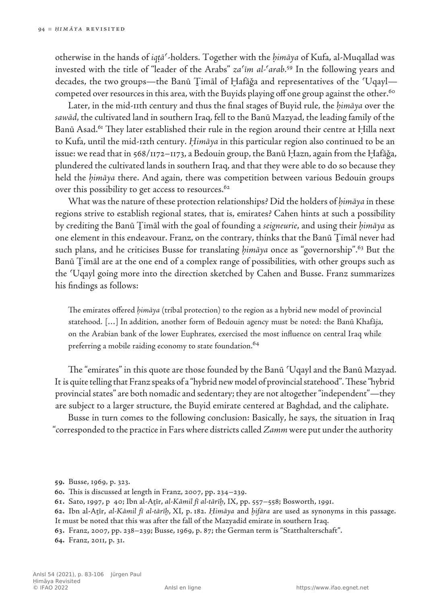otherwise in the hands of *iqṭāʿ*-holders. Together with the *ḥimāya* of Kufa, al‑Muqallad was invested with the title of "leader of the Arabs" *zaʿīm al-ʿarab*. 59 In the following years and decades, the two groups—the Banū Ṯimāl of Ḫafāǧa and representatives of the ʿUqayl competed over resources in this area, with the Buyids playing off one group against the other.<sup>60</sup>

Later, in the mid‑11th century and thus the final stages of Buyid rule, the *ḥimāya* over the *sawād*, the cultivated land in southern Iraq, fell to the Banū Mazyad, the leading family of the Banū Asad.<sup>61</sup> They later established their rule in the region around their centre at Hilla next to Kufa, until the mid‑12th century. *Ḥimāya* in this particular region also continued to be an issue: we read that in 568/1172–1173, a Bedouin group, the Banū Ḥazn, again from the Ḫafāǧa, plundered the cultivated lands in southern Iraq, and that they were able to do so because they held the *ḥimāya* there. And again, there was competition between various Bedouin groups over this possibility to get access to resources.<sup>62</sup>

What was the nature of these protection relationships? Did the holders of *himāya* in these regions strive to establish regional states, that is, emirates? Cahen hints at such a possibility by crediting the Banū Ṯimāl with the goal of founding a *seigneurie*, and using their *ḥimāya* as one element in this endeavour. Franz, on the contrary, thinks that the Banū Ṯimāl never had such plans, and he criticises Busse for translating *ḥimāya* once as "governorship".63 But the Banū Ṯimāl are at the one end of a complex range of possibilities, with other groups such as the ʿUqayl going more into the direction sketched by Cahen and Busse. Franz summarizes his findings as follows:

The emirates offered *ḥimāya* (tribal protection) to the region as a hybrid new model of provincial statehood. […] In addition, another form of Bedouin agency must be noted: the Banū Khafāja, on the Arabian bank of the lower Euphrates, exercised the most influence on central Iraq while preferring a mobile raiding economy to state foundation.<sup>64</sup>

The "emirates" in this quote are those founded by the Banū ʿUqayl and the Banū Mazyad. It is quite telling that Franz speaks of a "hybrid new model of provincial statehood". These "hybrid provincial states" are both nomadic and sedentary; they are not altogether "independent"—they are subject to a larger structure, the Buyid emirate centered at Baghdad, and the caliphate.

Busse in turn comes to the following conclusion: Basically, he says, the situation in Iraq "corresponded to the practice in Fars where districts called *Zamm* were put under the authority

**63.** Franz, 2007, pp. 238–239; Busse, 1969, p. 87; the German term is "Statthalterschaft".

**64.** Franz, 2011, p. 31.

**<sup>59</sup>.** Busse, 1969*,* p. 323.

**<sup>60</sup>.** This is discussed at length in Franz, 2007, pp. 234–239.

**<sup>61</sup>.** Sato, 1997, p 40; Ibn al‑Aṯīr, *al‑Kāmil fī al‑tārīḫ*, IX, pp. 557–558; Bosworth, 1991.

**<sup>62</sup>.** Ibn al-Aṯīr, *al‑Kāmil fī al‑tārīḫ*, XI, p. 182. *Ḥimāya* and *ḫifāra* are used as synonyms in this passage. It must be noted that this was after the fall of the Mazyadid emirate in southern Iraq.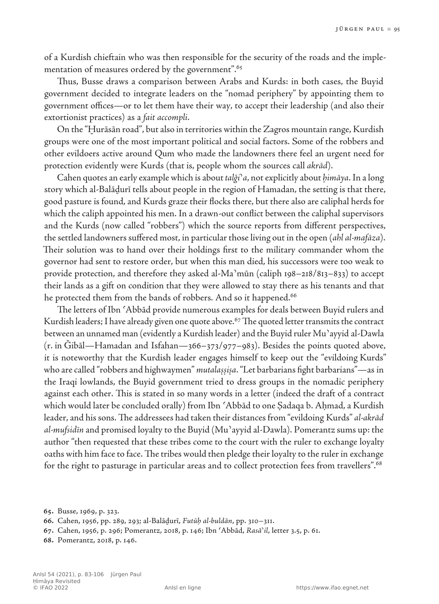of a Kurdish chieftain who was then responsible for the security of the roads and the implementation of measures ordered by the government".<sup>65</sup>

Thus, Busse draws a comparison between Arabs and Kurds: in both cases, the Buyid government decided to integrate leaders on the "nomad periphery" by appointing them to government offices—or to let them have their way, to accept their leadership (and also their extortionist practices) as a *fait accompli*.

On the "Ḫurāsān road", but also in territories within the Zagros mountain range, Kurdish groups were one of the most important political and social factors. Some of the robbers and other evildoers active around Qum who made the landowners there feel an urgent need for protection evidently were Kurds (that is, people whom the sources call *akrād*).

Cahen quotes an early example which is about *talǧiʾa*, not explicitly about *ḥimāya*. In a long story which al‑Balāḏurī tells about people in the region of Hamadan, the setting is that there, good pasture is found, and Kurds graze their flocks there, but there also are caliphal herds for which the caliph appointed his men. In a drawn-out conflict between the caliphal supervisors and the Kurds (now called "robbers") which the source reports from different perspectives, the settled landowners suffered most, in particular those living out in the open (*ahl al‑mafāza*). Their solution was to hand over their holdings first to the military commander whom the governor had sent to restore order, but when this man died, his successors were too weak to provide protection, and therefore they asked al‑Maʾmūn (caliph 198–218/813–833) to accept their lands as a gift on condition that they were allowed to stay there as his tenants and that he protected them from the bands of robbers. And so it happened.<sup>66</sup>

The letters of Ibn ʿAbbād provide numerous examples for deals between Buyid rulers and Kurdish leaders; I have already given one quote above.<sup>67</sup> The quoted letter transmits the contract between an unnamed man (evidently a Kurdish leader) and the Buyid ruler Muʾayyid al‑Dawla  $(r.$  in Gibāl—Hamadan and Isfahan—366–373/977–983). Besides the points quoted above, it is noteworthy that the Kurdish leader engages himself to keep out the "evildoing Kurds" who are called "robbers and highwaymen" *mutalaṣṣiṣa*. "Let barbarians fight barbarians"—as in the Iraqi lowlands, the Buyid government tried to dress groups in the nomadic periphery against each other. This is stated in so many words in a letter (indeed the draft of a contract which would later be concluded orally) from Ibn ʿAbbād to one Ṣadaqa b. Aḥmad, a Kurdish leader, and his sons. The addressees had taken their distances from "evildoing Kurds" *al‑akrād al‑mufsidīn* and promised loyalty to the Buyid (Muʾayyid al‑Dawla). Pomerantz sums up: the author "then requested that these tribes come to the court with the ruler to exchange loyalty oaths with him face to face. The tribes would then pledge their loyalty to the ruler in exchange for the right to pasturage in particular areas and to collect protection fees from travellers".<sup>68</sup>

**<sup>65</sup>.** Busse, 1969, p. 323.

**<sup>66</sup>.** Cahen, 1956, pp. 289, 293; al‑Balāḏurī, *Futūḥ al‑buldān*, pp. 310–311.

**<sup>67</sup>.** Cahen, 1956, p. 296; Pomerantz, 2018, p. 146; Ibn ʿAbbād, *Rasāʾil*, letter 3.5, p. 61.

**<sup>68</sup>.** Pomerantz, 2018, p. 146.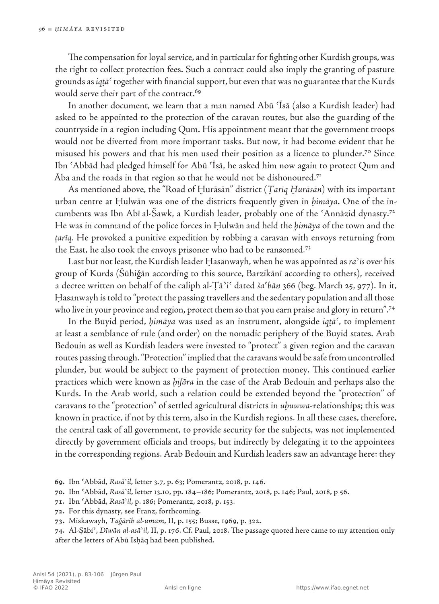The compensation for loyal service, and in particular for fighting other Kurdish groups, was the right to collect protection fees. Such a contract could also imply the granting of pasture grounds as *iqṭāʿ* together with financial support, but even that was no guarantee that the Kurds would serve their part of the contract.<sup>69</sup>

In another document, we learn that a man named Abū ʿĪsā (also a Kurdish leader) had asked to be appointed to the protection of the caravan routes, but also the guarding of the countryside in a region including Qum. His appointment meant that the government troops would not be diverted from more important tasks. But now, it had become evident that he misused his powers and that his men used their position as a licence to plunder.70 Since Ibn ʿAbbād had pledged himself for Abū ʿĪsā, he asked him now again to protect Qum and  $\bar{A}$ ba and the roads in that region so that he would not be dishonoured.<sup>71</sup>

As mentioned above, the "Road of Ḫurāsān" district (*Ṭarīq Ḫurāsān*) with its important urban centre at Ḥulwān was one of the districts frequently given in *ḥimāya*. One of the incumbents was Ibn Abī al‑Šawk, a Kurdish leader, probably one of the ʿAnnāzid dynasty.72 He was in command of the police forces in Ḥulwān and held the *ḥimāya* of the town and the *ṭarīq.* He provoked a punitive expedition by robbing a caravan with envoys returning from the East, he also took the envoys prisoner who had to be ransomed.73

Last but not least, the Kurdish leader Ḥasanwayh, when he was appointed as *raʾīs* over his group of Kurds (Šūhiǧān according to this source, Barzikānī according to others), received a decree written on behalf of the caliph al‑Ṭāʾiʿ dated *šaʿbān* 366 (beg. March 25, 977). In it, Ḥasanwayh is told to "protect the passing travellers and the sedentary population and all those who live in your province and region, protect them so that you earn praise and glory in return".<sup>74</sup>

In the Buyid period, *ḥimāya* was used as an instrument, alongside *iqṭāʿ*, to implement at least a semblance of rule (and order) on the nomadic periphery of the Buyid states. Arab Bedouin as well as Kurdish leaders were invested to "protect" a given region and the caravan routes passing through. "Protection" implied that the caravans would be safe from uncontrolled plunder, but would be subject to the payment of protection money. This continued earlier practices which were known as *ḫifāra* in the case of the Arab Bedouin and perhaps also the Kurds. In the Arab world, such a relation could be extended beyond the "protection" of caravans to the "protection" of settled agricultural districts in *uḫuwwa*-relationships; this was known in practice, if not by this term, also in the Kurdish regions. In all these cases, therefore, the central task of all government, to provide security for the subjects, was not implemented directly by government officials and troops, but indirectly by delegating it to the appointees in the corresponding regions. Arab Bedouin and Kurdish leaders saw an advantage here: they

**70.** Ibn ʿAbbād, *Rasāʾil*, letter 13.10, pp. 184–186; Pomerantz, 2018, p. 146; Paul, 2018, p 56.

**71.** Ibn ʿAbbād, *Rasāʾil*, p. 186; Pomerantz, 2018, p. 153.

**72.** For this dynasty, see Franz, forthcoming.

**73.** Miskawayh, *Taǧārib al‑umam*, II, p. 155; Busse, 1969, p. 322.

**74.** Al-Ṣābiʾ, *Dīwān al‑asāʾil*, II, p. 176. Cf. Paul, 2018. The passage quoted here came to my attention only after the letters of Abū Isḥāq had been published.

**<sup>69</sup>.** Ibn ʿAbbād, *Rasāʾil*, letter 3.7, p. 63; Pomerantz, 2018, p. 146.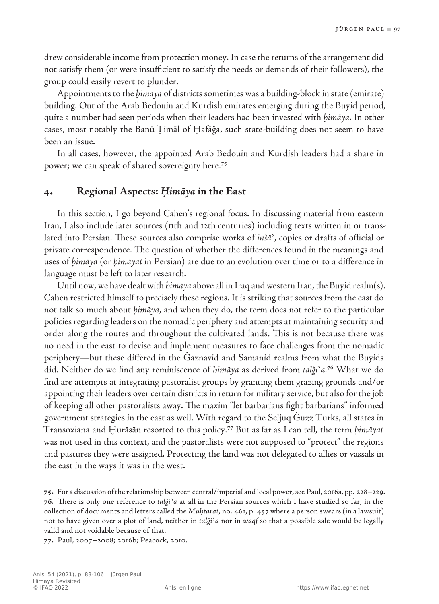drew considerable income from protection money. In case the returns of the arrangement did not satisfy them (or were insufficient to satisfy the needs or demands of their followers), the group could easily revert to plunder.

Appointments to the *ḥimaya* of districts sometimes was a building-block in state (emirate) building. Out of the Arab Bedouin and Kurdish emirates emerging during the Buyid period, quite a number had seen periods when their leaders had been invested with *ḥimāya*. In other cases, most notably the Banū Ṯimāl of Ḫafāǧa, such state-building does not seem to have been an issue.

In all cases, however, the appointed Arab Bedouin and Kurdish leaders had a share in power; we can speak of shared sovereignty here.75

## **4. Regional Aspects:** *Ḥimāya* **in the East**

In this section, I go beyond Cahen's regional focus. In discussing material from eastern Iran, I also include later sources (11th and 12th centuries) including texts written in or translated into Persian. These sources also comprise works of *inšāʾ*, copies or drafts of official or private correspondence. The question of whether the differences found in the meanings and uses of *ḥimāya* (or *ḥimāyat* in Persian) are due to an evolution over time or to a difference in language must be left to later research.

Until now, we have dealt with *ḥimāya* above all in Iraq and western Iran, the Buyid realm(s). Cahen restricted himself to precisely these regions. It is striking that sources from the east do not talk so much about *ḥimāya*, and when they do, the term does not refer to the particular policies regarding leaders on the nomadic periphery and attempts at maintaining security and order along the routes and throughout the cultivated lands. This is not because there was no need in the east to devise and implement measures to face challenges from the nomadic periphery—but these differed in the Ġaznavid and Samanid realms from what the Buyids did. Neither do we find any reminiscence of *ḥimāya* as derived from *talǧiʾa*. 76 What we do find are attempts at integrating pastoralist groups by granting them grazing grounds and/or appointing their leaders over certain districts in return for military service, but also for the job of keeping all other pastoralists away. The maxim "let barbarians fight barbarians" informed government strategies in the east as well. With regard to the Seljuq Ġuzz Turks, all states in Transoxiana and Ḫurāsān resorted to this policy.77 But as far as I can tell, the term *ḥimāyat* was not used in this context, and the pastoralists were not supposed to "protect" the regions and pastures they were assigned. Protecting the land was not delegated to allies or vassals in the east in the ways it was in the west.

**75.** For a discussion ofthe relationship between central/imperial and local power,see Paul, 2016a, pp. 228–229. **76.** There is only one reference to *talǧi*ʾ*a* at all in the Persian sources which I have studied so far, in the collection of documents and letters called the *Muḫtārāt*, no. 461, p. 457 where a person swears(in a lawsuit) not to have given over a plot of land, neither in *talǧi*ʾ*a* nor in *waqf* so that a possible sale would be legally valid and not voidable because of that.

**77.** Paul, 2007–2008; 2016b; Peacock, 2010.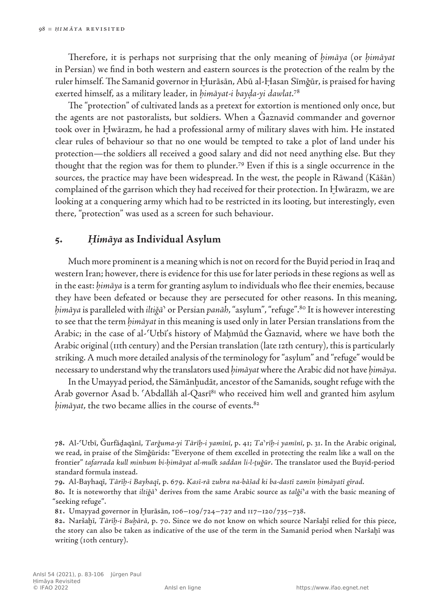Therefore, it is perhaps not surprising that the only meaning of *ḥimāya* (or *ḥimāyat* in Persian) we find in both western and eastern sources is the protection of the realm by the ruler himself. The Samanid governor in Ḫurāsān, Abū al‑Ḥasan Sīmǧūr, is praised for having exerted himself, as a military leader, in *ḥimāyat‑i bayḍa‑yi dawlat*. 78

The "protection" of cultivated lands as a pretext for extortion is mentioned only once, but the agents are not pastoralists, but soldiers. When a Ġaznavid commander and governor took over in Ḫwārazm, he had a professional army of military slaves with him. He instated clear rules of behaviour so that no one would be tempted to take a plot of land under his protection—the soldiers all received a good salary and did not need anything else. But they thought that the region was for them to plunder.79 Even if this is a single occurrence in the sources, the practice may have been widespread. In the west, the people in Rāwand (Kāšān) complained of the garrison which they had received for their protection. In Ḫwārazm, we are looking at a conquering army which had to be restricted in its looting, but interestingly, even there, "protection" was used as a screen for such behaviour.

## **5.** *Ḥimāya* **as Individual Asylum**

Much more prominent is a meaning which is not on record for the Buyid period in Iraq and western Iran; however, there is evidence for this use for later periods in these regions as well as in the east: *ḥimāya* is a term for granting asylum to individuals who flee their enemies, because they have been defeated or because they are persecuted for other reasons. In this meaning, *ḥimāya* is paralleled with *iltiǧāʾ* or Persian *panāh*, "asylum", "refuge".80 It is however interesting to see that the term *ḥimāyat* in this meaning is used only in later Persian translations from the Arabic; in the case of al-'Utbī's history of Maḥmūd the Gaznavid, where we have both the Arabic original (11th century) and the Persian translation (late 12th century), this is particularly striking. A much more detailed analysis of the terminology for "asylum" and "refuge" would be necessary to understand why the translators used *ḥimāyat* where the Arabic did not have *ḥimāya*.

In the Umayyad period, the Sāmānḫudāt, ancestor of the Samanids, sought refuge with the Arab governor Asad b. 'Abdallāh al-Qasrī81 who received him well and granted him asylum *himāyat*, the two became allies in the course of events.<sup>82</sup>

**78.** Al-ʿUtbī, Ǧurfāḏaqānī, *Tarǧuma‑yi Tārīḫ‑i yamīnī*, p. 41; *Taʾrīḫ‑i yamīnī*, p. 31. In the Arabic original, we read, in praise of the Sīmǧūrids: "Everyone of them excelled in protecting the realm like a wall on the frontier" *tafarrada kull minhum bi‑ḥimāyat al‑mulk saddan li‑l‑ṯuǧūr*. The translator used the Buyid‑period standard formula instead.

**79.** Al-Bayhaqī, *Tārīḫ‑i Bayhaqī*, p. 679. *Kasī‑rā zuhra na‑bāšad ki ba‑dastī zamīn ḥimāyatī gīrad.*

**80.** It is noteworthy that *iltiǧā*ʾ derives from the same Arabic source as *talǧi*ʾ*a* with the basic meaning of "seeking refuge".

**81.** Umayyad governor in Ḫurāsān, 106–109/724–727 and 117–120/735–738.

**82.** Naršaḫī, *Tārīḫ-i Buḫārā*, p. 70. Since we do not know on which source Naršaḫī relied for this piece, the story can also be taken as indicative of the use of the term in the Samanid period when Naršaḫī was writing (10th century).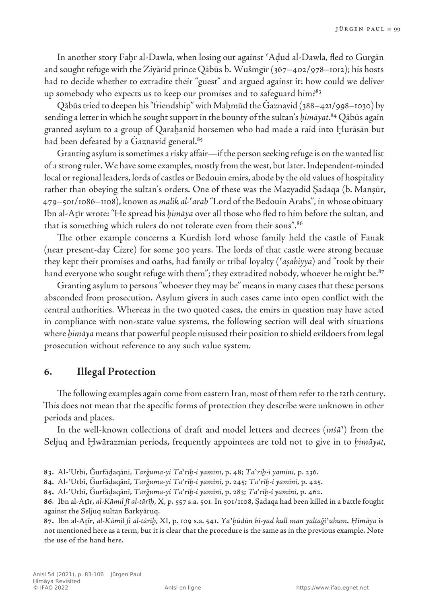In another story Fahr al-Dawla, when losing out against 'Adud al-Dawla, fled to Gurgān and sought refuge with the Ziyārid prince Qābūs b. Wušmgīr (367–402/978–1012); his hosts had to decide whether to extradite their "guest" and argued against it: how could we deliver up somebody who expects us to keep our promises and to safeguard him?83

Qābūs tried to deepen his "friendship" with Maḥmūd the Ġaznavid (388–421/998–1030) by sending a letter in which he sought support in the bounty of the sultan's *ḥimāyat*. 84 Qābūs again granted asylum to a group of Qarahanid horsemen who had made a raid into Hurāsān but had been defeated by a Gaznavid general.<sup>85</sup>

Granting asylum is sometimes a risky affair—if the person seeking refuge is on the wanted list of a strong ruler. We have some examples, mostly from the west, but later. Independent-minded local or regional leaders, lords of castles or Bedouin emirs, abode by the old values of hospitality rather than obeying the sultan's orders. One of these was the Mazyadid Sadaqa (b. Mansūr, 479–501/1086–1108), known as *malik al‑ʿarab* "Lord of the Bedouin Arabs", in whose obituary Ibn al‑Aṯīr wrote: "He spread his *ḥimāya* over all those who fled to him before the sultan, and that is something which rulers do not tolerate even from their sons".<sup>86</sup>

The other example concerns a Kurdish lord whose family held the castle of Fanak (near present‑day Cizre) for some 300 years. The lords of that castle were strong because they kept their promises and oaths, had family or tribal loyalty (*ʿaṣabiyya*) and "took by their hand everyone who sought refuge with them"; they extradited nobody, whoever he might be.<sup>87</sup>

Granting asylum to persons "whoever they may be" means in many cases that these persons absconded from prosecution. Asylum givers in such cases came into open conflict with the central authorities. Whereas in the two quoted cases, the emirs in question may have acted in compliance with non-state value systems, the following section will deal with situations where *ḥimāya* means that powerful people misused their position to shield evildoers from legal prosecution without reference to any such value system.

## **6. Illegal Protection**

The following examples again come from eastern Iran, most of them refer to the 12th century. This does not mean that the specific forms of protection they describe were unknown in other periods and places.

In the well-known collections of draft and model letters and decrees (*inšāʾ*) from the Seljuq and Ḫwārazmian periods, frequently appointees are told not to give in to *ḥimāyat*,

**<sup>83</sup>.** Al-ʿUtbī, Ǧurfāḏaqānī, *Tarǧuma‑yi Taʾrīḫ‑i yamīnī*, p. 48; *Taʾrīḫ‑i yamīnī*, p. 236.

**<sup>84</sup>.** Al-ʿUtbī, Ǧurfāḏaqānī, *Tarǧuma‑yi Taʾrīḫ‑i yamīnī*, p. 245; *Taʾrīḫ‑i yamīnī*, p. 425.

**<sup>85</sup>.** Al-ʿUtbī, Ǧurfāḏaqānī, *Tarǧuma‑yi Taʾrīḫ‑i yamīnī*, p. 283; *Taʾrīḫ‑i yamīnī*, p. 462.

**<sup>86</sup>.** Ibn al-Aṯīr, *al-Kāmil fī al‑tārīḫ*, X, p. 557 s.a. 501. In 501/1108, Ṣadaqa had been killed in a battle fought against the Seljuq sultan Barkyāruq.

**<sup>87</sup>.** Ibn al-Aṯīr, *al-Kāmil fī al-tārīḫ*, XI, p. 109 s.a. 541. *Ya*ʾ*ḫūḏūn bi‑yad kull man yaltaǧi*ʾ*uhum*. *Ḥimāya* is not mentioned here as a term, but it is clear that the procedure is the same as in the previous example. Note the use of the hand here.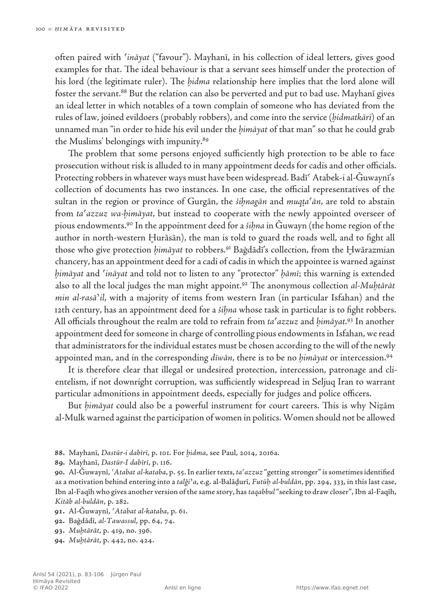often paired with *ʿināyat* ("favour"). Mayhanī, in his collection of ideal letters, gives good examples for that. The ideal behaviour is that a servant sees himself under the protection of his lord (the legitimate ruler). The *ḫidma* relationship here implies that the lord alone will foster the servant.<sup>88</sup> But the relation can also be perverted and put to bad use. Mayhanī gives an ideal letter in which notables of a town complain of someone who has deviated from the rules of law, joined evildoers (probably robbers), and come into the service (*ḫidmatkārī*) of an unnamed man "in order to hide his evil under the *ḥimāyat* of that man" so that he could grab the Muslims' belongings with impunity.<sup>89</sup>

The problem that some persons enjoyed sufficiently high protection to be able to face prosecution without risk is alluded to in many appointment deeds for cadis and other officials. Protecting robbers in whatever ways must have been widespread. Badī Atabek-i al-Ğuwaynī's collection of documents has two instances. In one case, the official representatives of the sultan in the region or province of Gurgān, the *šiḥnagān* and *muqṭaʿān*, are told to abstain from *taʿazzuz wa-ḥimāyat*, but instead to cooperate with the newly appointed overseer of pious endowments.90 In the appointment deed for a *šiḥna* in Ǧuwayn (the home region of the author in north‑western Ḫurāsān), the man is told to guard the roads well, and to fight all those who give protection *ḥimāyat* to robbers.91 Baġdādī's collection, from the Ḫwārazmian chancery, has an appointment deed for a cadi of cadis in which the appointee is warned against *ḥimāyat* and *ʿināyat* and told not to listen to any "protector" *ḥāmī*; this warning is extended also to all the local judges the man might appoint.92 The anonymous collection *al‑Muḫtārāt min al-rasā*'*il*, with a majority of items from western Iran (in particular Isfahan) and the 12th century, has an appointment deed for a *šiḥna* whose task in particular is to fight robbers. All officials throughout the realm are told to refrain from *taʿazzuz* and *ḥimāyat*. 93 In another appointment deed for someone in charge of controlling pious endowments in Isfahan, we read that administrators for the individual estates must be chosen according to the will of the newly appointed man, and in the corresponding *dīwān*, there is to be no *ḥimāyat* or intercession.94

It is therefore clear that illegal or undesired protection, intercession, patronage and clientelism, if not downright corruption, was sufficiently widespread in Seljuq Iran to warrant particular admonitions in appointment deeds, especially for judges and police officers.

But *ḥimāyat* could also be a powerful instrument for court careers. This is why Niẓām al‑Mulk warned against the participation of women in politics. Women should not be allowed

**89.** Mayhanī, *Dastūr-I dabīrī*, p. 116.

**90.** Al-Ǧuwaynī, *ʿAtabat al‑kataba*, p. 55.In earliertexts, *taʿazzuz* "getting stronger"issometimesidentified as a motivation behind entering into a *talǧi*ʾ*a*, e.g. al‑Balāḏurī, *Futūḥ al‑buldān*, pp. 294, 333, in this last case, Ibn al‑Faqīh who gives another version ofthe same story, has*taqabbul*"seeking to draw closer",Ibn al‑Faqīh, *Kitāb al‑buldān*, p. 282.

**91.** Al-Ǧuwaynī, *ʿAtabat al‑kataba*, p. 61.

- **92.** Baġdādī, *al-Tawassul*, pp. 64, 74.
- **93.** *Muḫtārāt*, p. 419, no. 396.
- **94.** *Muḫtārāt*, p. 442, no. 424.

**<sup>88</sup>.** Mayhanī, *Dastūr-i dabīrī*, p. 101. For *ḫidma*, see Paul, 2014, 2016a.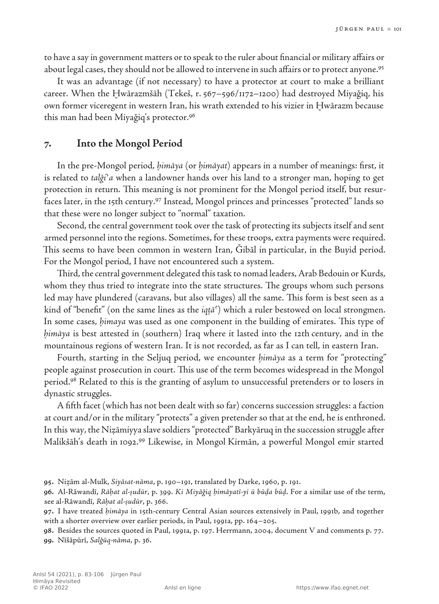to have a say in government matters or to speak to the ruler about financial or military affairs or about legal cases, they should not be allowed to intervene in such affairs or to protect anyone.<sup>95</sup>

It was an advantage (if not necessary) to have a protector at court to make a brilliant career. When the Hwārazmšāh (Tekeš, r. 567–596/1172–1200) had destroyed Miyaǧiq, his own former viceregent in western Iran, his wrath extended to his vizier in Ḫwārazm because this man had been Miyaǧiq's protector.96

## **7. Into the Mongol Period**

In the pre-Mongol period, *ḥimāya* (or *ḥimāyat*) appears in a number of meanings: first, it is related to *talǧiʾa* when a landowner hands over his land to a stronger man, hoping to get protection in return. This meaning is not prominent for the Mongol period itself, but resurfaces later, in the 15th century.<sup>97</sup> Instead, Mongol princes and princesses "protected" lands so that these were no longer subject to "normal" taxation.

Second, the central government took over the task of protecting its subjects itself and sent armed personnel into the regions. Sometimes, for these troops, extra payments were required. This seems to have been common in western Iran, Ǧibāl in particular, in the Buyid period. For the Mongol period, I have not encountered such a system.

Third, the central government delegated this task to nomad leaders, Arab Bedouin or Kurds, whom they thus tried to integrate into the state structures. The groups whom such persons led may have plundered (caravans, but also villages) all the same. This form is best seen as a kind of "benefit" (on the same lines as the *iqṭāʿ*) which a ruler bestowed on local strongmen. In some cases, *ḥimaya* was used as one component in the building of emirates. This type of *ḥimāya* is best attested in (southern) Iraq where it lasted into the 12th century, and in the mountainous regions of western Iran. It is not recorded, as far as I can tell, in eastern Iran.

Fourth, starting in the Seljuq period, we encounter *ḥimāya* as a term for "protecting" people against prosecution in court. This use of the term becomes widespread in the Mongol period.98 Related to this is the granting of asylum to unsuccessful pretenders or to losers in dynastic struggles.

A fifth facet (which has not been dealt with so far) concerns succession struggles: a faction at court and/or in the military "protects" a given pretender so that at the end, he is enthroned. In this way, the Niẓāmiyya slave soldiers "protected" Barkyāruq in the succession struggle after Malikšāh's death in 1092.99 Likewise, in Mongol Kirmān, a powerful Mongol emir started

**<sup>95</sup>.** Niẓām al-Mulk, *Siyāsat-nāma*, p. 190–191, translated by Darke, 1960, p. 191.

**<sup>96</sup>.** Al-Rāwandī, *Rāḥat al‑ṣudūr*, p. 399. *Ki Miyāǧiq ḥimāyatī‑yi ū būḏa būḏ*. For a similar use of the term, see al‑Rāwandī, *Rāḥat al-ṣudūr*, p. 366.

**<sup>97</sup>.** I have treated *ḥimāya* in 15th‑century Central Asian sources extensively in Paul, 1991b, and together with a shorter overview over earlier periods, in Paul, 1991a, pp. 164–205.

**<sup>98</sup>.** Besides the sources quoted in Paul, 1991a, p. 197. Herrmann, 2004*,* document V and comments p. 77. **99.** Nīšāpūrī, *Salǧūq‑nāma*, p. 36.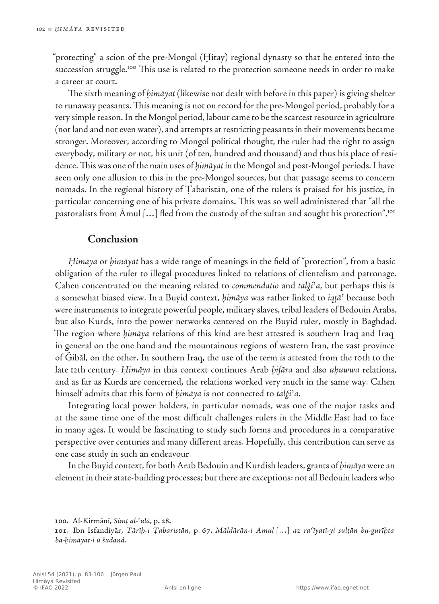"protecting" a scion of the pre‑Mongol (Ḫitay) regional dynasty so that he entered into the succession struggle.<sup>100</sup> This use is related to the protection someone needs in order to make a career at court.

The sixth meaning of *ḥimāyat* (likewise not dealt with before in this paper) is giving shelter to runaway peasants. This meaning is not on record for the pre-Mongol period, probably for a very simple reason. In the Mongol period, labour came to be the scarcest resource in agriculture (not land and not even water), and attempts at restricting peasants in their movements became stronger. Moreover, according to Mongol political thought, the ruler had the right to assign everybody, military or not, his unit (of ten, hundred and thousand) and thus his place of residence. This was one of the main uses of *ḥimāyat* in the Mongol and post‑Mongol periods. I have seen only one allusion to this in the pre-Mongol sources, but that passage seems to concern nomads. In the regional history of Ṭabaristān, one of the rulers is praised for his justice, in particular concerning one of his private domains. This was so well administered that "all the pastoralists from  $\bar{A}$ mul [...] fled from the custody of the sultan and sought his protection".<sup>101</sup>

## **Conclusion**

*Ḥimāya* or *ḥimāyat* has a wide range of meanings in the field of "protection", from a basic obligation of the ruler to illegal procedures linked to relations of clientelism and patronage. Cahen concentrated on the meaning related to *commendatio* and *talǧiʾa*, but perhaps this is a somewhat biased view. In a Buyid context, *ḥimāya* was rather linked to *iqṭāʿ* because both were instruments to integrate powerful people, military slaves, tribal leaders of Bedouin Arabs, but also Kurds, into the power networks centered on the Buyid ruler, mostly in Baghdad. The region where *ḥimāya* relations of this kind are best attested is southern Iraq and Iraq in general on the one hand and the mountainous regions of western Iran, the vast province of Gibāl, on the other. In southern Iraq, the use of the term is attested from the 10th to the late 12th century. *Ḥimāya* in this context continues Arab *ḫifāra* and also *uḫuwwa* relations, and as far as Kurds are concerned, the relations worked very much in the same way. Cahen himself admits that this form of *ḥimāya* is not connected to *talǧiʾa*.

Integrating local power holders, in particular nomads, was one of the major tasks and at the same time one of the most difficult challenges rulers in the Middle East had to face in many ages. It would be fascinating to study such forms and procedures in a comparative perspective over centuries and many different areas. Hopefully, this contribution can serve as one case study in such an endeavour.

In the Buyid context, for both Arab Bedouin and Kurdish leaders, grants of *ḥimāya* were an element in their state-building processes; but there are exceptions: not all Bedouin leaders who

**<sup>100</sup>.** Al-Kirmānī, *Simṭ al-ʿulā*, p. 28.

**<sup>101</sup>.** Ibn Isfandiyār, *Tārīḫ-i Ṭabaristān*, p. 67. *Māldārān-i Āmul* […] *az raʿīyatī‑yi sulṭān bu‑gurīḫta ba‑ḥimāyat‑i ū šudand*.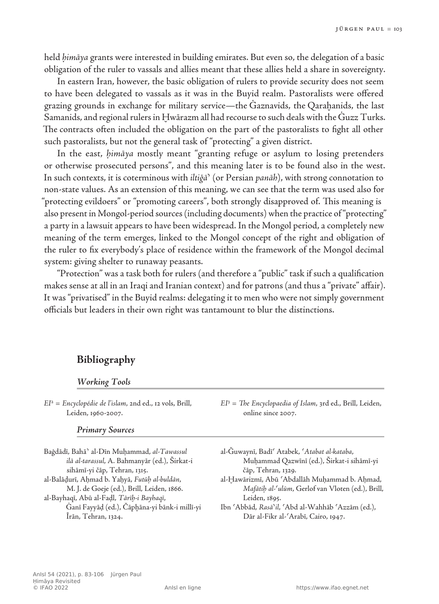held *ḥimāya* grants were interested in building emirates. But even so, the delegation of a basic obligation of the ruler to vassals and allies meant that these allies held a share in sovereignty.

In eastern Iran, however, the basic obligation of rulers to provide security does not seem to have been delegated to vassals as it was in the Buyid realm. Pastoralists were offered grazing grounds in exchange for military service—the Ġaznavids, the Qaraḫanids, the last Samanids, and regional rulers in Ḫwārazm all had recourse to such deals with the Ġuzz Turks. The contracts often included the obligation on the part of the pastoralists to fight all other such pastoralists, but not the general task of "protecting" a given district.

In the east, *ḥimāya* mostly meant "granting refuge or asylum to losing pretenders or otherwise prosecuted persons", and this meaning later is to be found also in the west. In such contexts, it is coterminous with *iltiǧāʾ* (or Persian *panāh*), with strong connotation to non-state values. As an extension of this meaning, we can see that the term was used also for "protecting evildoers" or "promoting careers", both strongly disapproved of. This meaning is also present in Mongol-period sources (including documents) when the practice of "protecting" a party in a lawsuit appears to have been widespread. In the Mongol period, a completely new meaning of the term emerges, linked to the Mongol concept of the right and obligation of the ruler to fix everybody's place of residence within the framework of the Mongol decimal system: giving shelter to runaway peasants.

"Protection" was a task both for rulers (and therefore a "public" task if such a qualification makes sense at all in an Iraqi and Iranian context) and for patrons (and thus a "private" affair). It was "privatised" in the Buyid realms: delegating it to men who were not simply government officials but leaders in their own right was tantamount to blur the distinctions.

## **Bibliography**

#### *Working Tools*

*EI*<sup>2</sup> = *Encyclopédie de l'islam*, 2nd ed., 12 vols, Brill, Leiden, 1960-2007.

#### *Primary Sources*

Baġdādī, Bahāʾ al-Dīn Muḥammad, *al‑Tawassul ilā al‑tarassul*, A. Bahmanyār (ed.), Širkat‑i sihāmī‑yi čāp, Tehran, 1315. al-Balāḏurī, Aḥmad b. Yaḥyā, *Futūḥ al‑buldān*, M. J. de Goeje (ed.), Brill, Leiden, 1866. al-Bayhaqī, Abū al-Faḍl, *Tārīḫ‑i Bayhaqī*, Ġanī Fayyāḍ (ed.), Čāpḫāna‑yi bānk‑i millī‑yi Īrān, Tehran, 1324.

*EI*<sup>3</sup> = *The Encyclopaedia of Islam*, 3rd ed., Brill, Leiden, online since 2007.

- al-Ǧuwaynī, Badīʿ Atabek, *ʿAtabat al-kataba*, Muḥammad Qazwīnī (ed.), Širkat‑i sihāmī‑yi čāp, Tehran, 1329.
- al-Ḫawārizmī, Abū ʿAbdallāh Muḥammad b. Aḥmad, *Mafātiḥ al‑ʿulūm*, Gerlof van Vloten (ed.), Brill, Leiden, 1895.
- Ibn ʿAbbād, *Rasāʾil*, ʿAbd al‑Wahhāb ʿAzzām (ed.), Dār al-Fikr al-'Arabī, Cairo, 1947.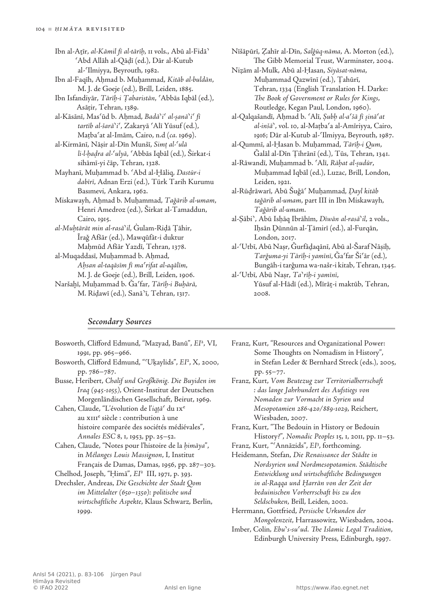- Ibn al-Aṯīr, *al-Kāmil fī al-tārīḫ*, 11 vols., Abū al‑Fidāʾ ʿAbd Allāh al‑Qāḍī (ed.), Dār al‑Kutub al‑ʿIlmiyya, Beyrouth, 1982.
- Ibn al-Faqīh, Aḥmad b. Muḥammad, *Kitāb al‑buldān*, M. J. de Goeje (ed.), Brill, Leiden, 1885.
- Ibn Isfandiyār, *Tārīḫ-i Ṭabaristān*, ʿAbbās Iqbāl (ed.), Asāṭir, Tehran, 1389.
- al-Kāsānī, Masʿūd b. Aḥmad, *Badāʾiʿ al-ṣanāʾiʿ fī tartīb al‑šarāʾiʿ*, Zakaryā ʿAlī Yūsuf (ed.), Maṭbaʿat al‑Imām, Cairo, n.d (*ca.* 1969).
- al-Kirmānī, Nāṣir al-Dīn Munšī, *Simṭ al-ʿulā li-l-ḥaḍra al-ʿulyā*, ʿAbbās Iqbāl (ed.), Širkat‑i sihāmī‑yi čāp, Tehran, 1328.
- Mayhanī, Muḥammad b. ʿAbd al-Ḫāliq, *Dastūr‑i dabīrī*, Adnan Erzi (ed.), Türk Tarih Kurumu Basımevi, Ankara, 1962.
- Miskawayh, Aḥmad b. Muḥammad, *Taǧārib al‑umam*, Henri Amedroz (ed.), Širkat al‑Tamaddun, Cairo, 1915.
- *al-Muḫtārāt min al-rasāʾil*, Ġulam‑Riḍā Ṭāhir, Īraǧ Afšār (ed.), Mawqūfāt‑i duktur Maḥmūd Afšār Yazdī, Tehran, 1378.
- al-Muqaddasī, Muḥammad b. Aḥmad, *Aḥsan al‑taqāsīm fī maʿrifat al‑aqālīm*, M. J. de Goeje (ed.), Brill, Leiden, 1906.
- Naršaḫī, Muḥammad b. Ǧaʿfar, *Tārīḫ‑i Buḫārā*, M. Riḍawī (ed.), Sanāʾī, Tehran, 1317.
- Nīšāpūrī, Ẓahīr al-Dīn, *Salǧūq-nāma*, A. Morton (ed.), The Gibb Memorial Trust, Warminster, 2004.
- Niẓām al-Mulk, Abū al-Ḥasan, *Siyāsat‑nāma*, Muḥammad Qazwīnī (ed.), Ṭahūrī, Tehran, 1334 (English Translation H. Darke: *The Book of Government or Rules for Kings*, Routledge, Kegan Paul, London, 1960).
- al-Qalqašandī, Aḥmad b. ʿAlī, *Ṣubḥ al‑aʿšā fī ṣināʿat al‑inšāʾ*, vol. 10, al‑Maṭbaʿa al‑Amīriyya, Cairo, 1916; Dār al‑Kutub al‑ʿIlmiyya, Beyrouth, 1987.
- al-Qummī, al-Ḥasan b. Muḥammad, *Tārīḫ‑i Qum*, Ǧalāl al‑Dīn Ṭihrānī (ed.), Tūs, Tehran, 1341.
- al-Rāwandī, Muḥammad b. ʿAlī, *Rāḥat al‑ṣudūr*, Muḥammad Iqbāl (ed.), Luzac, Brill, London, Leiden, 1921.
- al-Rūḏrāwarī, Abū Šuǧāʿ Muḥammad, *Ḏayl kitāb taǧārib al‑umam*, part III in Ibn Miskawayh, *Taǧārib al‑umam*.
- al-Ṣābiʾ, Abū Isḥāq Ibrāhīm, *Dīwān al‑rasāʾil*, 2 vols., Iḥsān Ḏūnnūn al‑Ṯāmirī (ed.), al‑Furqān, London, 2017.

al-ʿUtbī, Abū Naṣr, Ǧurfāḏaqānī, Abū al‑Šaraf Nāṣiḥ, *Tarǧuma‑yi Tārīḫ‑i yamīnī*, Ǧaʿfar Šiʿār (ed.), Bungāh‑i tarǧuma wa‑našr‑i kitab, Tehran, 1345.

al-ʿUtbī, Abū Naṣr, *Taʾrīḫ-i yamīnī*, Yūsuf al-Hādī (ed.), Mīrāt-i maktūb, Tehran, 2008.

#### *Secondary Sources*

- Bosworth, Clifford Edmund, "Mazyad, Banū", *EI*<sup>2</sup> , VI, 1991, pp. 965–966.
- Bosworth, Clifford Edmund, "ʿUḳaylids", *EI*<sup>2</sup> , X, 2000, pp. 786–787.
- Busse, Heribert, *Chalif und Großkönig. Die Buyiden im Iraq (945‑1055)*, Orient-Institut der Deutschen Morgenländischen Gesellschaft, Beirut, 1969.
- Cahen, Claude, "L'évolution de l'*iqṭāʿ* du ixe au xiii<sup>e</sup> siècle : contribution à une histoire comparée des sociétés médiévales", *Annales ESC* 8, 1, 1953, pp. 25–52.
- Cahen, Claude, "Notes pour l'histoire de la *ḥimāya*", in *Mélanges Louis Massignon*, I, Institut Français de Damas, Damas, 1956, pp. 287–303.
- Chelhod, Joseph, "Ḥimā", *EI*2 III, 1971, p. 393.
- Drechsler, Andreas, *Die Geschichte der Stadt Qom im Mittelalter (650–1350): politische und wirtschaftliche Aspekte*, Klaus Schwarz, Berlin, 1999.
- Franz, Kurt, "Resources and Organizational Power: Some Thoughts on Nomadism in History", in Stefan Leder & Bernhard Streck (eds.), 2005, pp. 55–77.
- Franz, Kurt, *Vom Beutezug zur Territorialherrschaft : das lange Jahrhundert des Aufstiegs von Nomaden zur Vormacht in Syrien und Mesopotamien 286-420/889-1029*, Reichert, Wiesbaden, 2007.
- Franz, Kurt, "The Bedouin in History or Bedouin History?", *Nomadic Peoples* 15, 1, 2011, pp. 11–53.
- Franz, Kurt, "ʿAnnāzids", *EI*<sup>3</sup> , forthcoming.
- Heidemann, Stefan, *Die Renaissance der Städte in Nordsyrien und Nordmesopotamien. Städtische Entwicklung und wirtschaftliche Bedingungen in al-Raqqa und Ḥarrān von der Zeit der beduinischen Vorherrschaft bis zu den Seldschuken*, Brill, Leiden, 2002.
- Herrmann, Gottfried, *Persische Urkunden der Mongolenzeit*, Harrassowitz, Wiesbaden, 2004.
- Imber, Colin*, Ebuʾs-suʿud. The Islamic Legal Tradition*, Edinburgh University Press, Edinburgh, 1997.